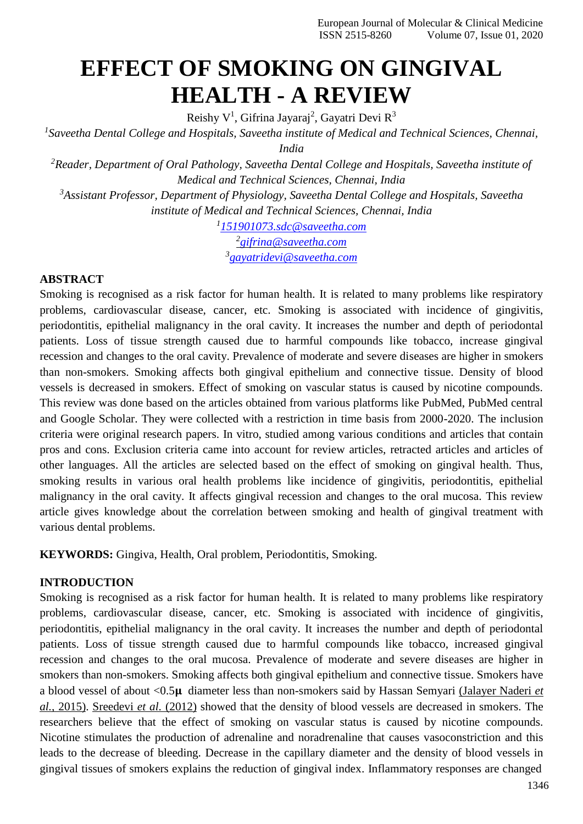# **EFFECT OF SMOKING ON GINGIVAL HEALTH - A REVIEW**

Reishy V<sup>1</sup>, Gifrina Jayaraj<sup>2</sup>, Gayatri Devi R<sup>3</sup>

*1 Saveetha Dental College and Hospitals, Saveetha institute of Medical and Technical Sciences, Chennai, India*

*<sup>2</sup>Reader, Department of Oral Pathology, Saveetha Dental College and Hospitals, Saveetha institute of Medical and Technical Sciences, Chennai, India*

*<sup>3</sup>Assistant Professor, Department of Physiology, Saveetha Dental College and Hospitals, Saveetha institute of Medical and Technical Sciences, Chennai, India*

*1 [151901073.sdc@saveetha.com](mailto:151901073.sdc@saveetha.com)*

*2 [gifrina@saveetha.com](mailto:gifrina@saveetha.com)*

*3 [gayatridevi@saveetha.com](mailto:gayatridevi@saveetha.com)*

# **ABSTRACT**

Smoking is recognised as a risk factor for human health. It is related to many problems like respiratory problems, cardiovascular disease, cancer, etc. Smoking is associated with incidence of gingivitis, periodontitis, epithelial malignancy in the oral cavity. It increases the number and depth of periodontal patients. Loss of tissue strength caused due to harmful compounds like tobacco, increase gingival recession and changes to the oral cavity. Prevalence of moderate and severe diseases are higher in smokers than non-smokers. Smoking affects both gingival epithelium and connective tissue. Density of blood vessels is decreased in smokers. Effect of smoking on vascular status is caused by nicotine compounds. This review was done based on the articles obtained from various platforms like PubMed, PubMed central and Google Scholar. They were collected with a restriction in time basis from 2000-2020. The inclusion criteria were original research papers. In vitro, studied among various conditions and articles that contain pros and cons. Exclusion criteria came into account for review articles, retracted articles and articles of other languages. All the articles are selected based on the effect of smoking on gingival health. Thus, smoking results in various oral health problems like incidence of gingivitis, periodontitis, epithelial malignancy in the oral cavity. It affects gingival recession and changes to the oral mucosa. This review article gives knowledge about the correlation between smoking and health of gingival treatment with various dental problems.

**KEYWORDS:** Gingiva, Health, Oral problem, Periodontitis, Smoking.

# **INTRODUCTION**

Smoking is recognised as a risk factor for human health. It is related to many problems like respiratory problems, cardiovascular disease, cancer, etc. Smoking is associated with incidence of gingivitis, periodontitis, epithelial malignancy in the oral cavity. It increases the number and depth of periodontal patients. Loss of tissue strength caused due to harmful compounds like tobacco, increased gingival recession and changes to the oral mucosa. Prevalence of moderate and severe diseases are higher in smokers than non-smokers. Smoking affects both gingival epithelium and connective tissue. Smokers have a blood vessel of about <0.5 diameter less than non-smokers said by Hassan Semyari [\(Jalayer Naderi](https://paperpile.com/c/du5iyF/Fv0k) *et al.,* [2015\).](https://paperpile.com/c/du5iyF/Fv0k) [Sreedevi](https://paperpile.com/c/du5iyF/XqNu) *et al.* (2012) showed that the density of blood vessels are decreased in smokers. The researchers believe that the effect of smoking on vascular status is caused by nicotine compounds. Nicotine stimulates the production of adrenaline and noradrenaline that causes vasoconstriction and this leads to the decrease of bleeding. Decrease in the capillary diameter and the density of blood vessels in gingival tissues of smokers explains the reduction of gingival index. Inflammatory responses are changed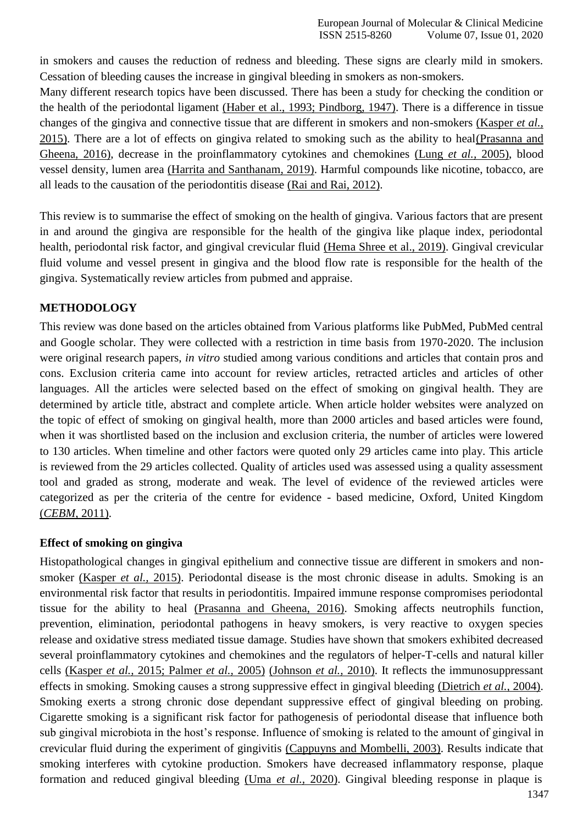in smokers and causes the reduction of redness and bleeding. These signs are clearly mild in smokers. Cessation of bleeding causes the increase in gingival bleeding in smokers as non-smokers.

Many different research topics have been discussed. There has been a study for checking the condition or the health of the periodontal ligament [\(Haber et al., 1993; Pindborg, 1947\).](https://paperpile.com/c/du5iyF/EG9S%2B0aFQ) There is a difference in tissue changes of the gingiva and connective tissue that are different in smokers and non-smokers [\(Kasper](https://paperpile.com/c/du5iyF/7J1C) *et al.,* [2015\). T](https://paperpile.com/c/du5iyF/7J1C)here are a lot of effects on gingiva related to smoking such as the ability to hea[l\(Prasanna and](https://paperpile.com/c/du5iyF/EvWI) [Gheena, 2016\),](https://paperpile.com/c/du5iyF/EvWI) decrease in the proinflammatory cytokines and chemokines [\(Lung](https://paperpile.com/c/du5iyF/PNsa) *et al.,* 2005), blood vessel density, lumen area [\(Harrita and Santhanam, 2019\).](https://paperpile.com/c/du5iyF/qqx2) Harmful compounds like nicotine, tobacco, are all leads to the causation of the periodontitis disease [\(Rai and Rai, 2012\).](https://paperpile.com/c/du5iyF/sHzM)

This review is to summarise the effect of smoking on the health of gingiva. Various factors that are present in and around the gingiva are responsible for the health of the gingiva like plaque index, periodontal health, periodontal risk factor, and gingival crevicular fluid [\(Hema Shree et al., 2019\).](https://paperpile.com/c/du5iyF/FCVp) Gingival crevicular fluid volume and vessel present in gingiva and the blood flow rate is responsible for the health of the gingiva. Systematically review articles from pubmed and appraise.

# **METHODOLOGY**

This review was done based on the articles obtained from Various platforms like PubMed, PubMed central and Google scholar. They were collected with a restriction in time basis from 1970-2020. The inclusion were original research papers, *in vitro* studied among various conditions and articles that contain pros and cons. Exclusion criteria came into account for review articles, retracted articles and articles of other languages. All the articles were selected based on the effect of smoking on gingival health. They are determined by article title, abstract and complete article. When article holder websites were analyzed on the topic of effect of smoking on gingival health, more than 2000 articles and based articles were found, when it was shortlisted based on the inclusion and exclusion criteria, the number of articles were lowered to 130 articles. When timeline and other factors were quoted only 29 articles came into play. This article is reviewed from the 29 articles collected. Quality of articles used was assessed using a quality assessment tool and graded as strong, moderate and weak. The level of evidence of the reviewed articles were categorized as per the criteria of the centre for evidence - based medicine, Oxford, United Kingdom (*[CEBM](https://paperpile.com/c/du5iyF/k35U)*, 2011).

# **Effect of smoking on gingiva**

Histopathological changes in gingival epithelium and connective tissue are different in smokers and nonsmoker [\(Kasper](https://paperpile.com/c/du5iyF/7J1C) *et al.,* 2015). Periodontal disease is the most chronic disease in adults. Smoking is an environmental risk factor that results in periodontitis. Impaired immune response compromises periodontal tissue for the ability to heal [\(Prasanna and Gheena, 2016\).](https://paperpile.com/c/du5iyF/EvWI) Smoking affects neutrophils function, prevention, elimination, periodontal pathogens in heavy smokers, is very reactive to oxygen species release and oxidative stress mediated tissue damage. Studies have shown that smokers exhibited decreased several proinflammatory cytokines and chemokines and the regulators of helper-T-cells and natural killer cells (Kasper *et al.,* [2015; Palmer](https://paperpile.com/c/du5iyF/7J1C%2BdFUS) *et al.,* 2005) [\(Johnson](https://paperpile.com/c/du5iyF/7J1C%2BdFUS) *et al.,* 2010). It reflects the immunosuppressant effects in smoking. Smoking causes a strong suppressive effect in gingival bleeding [\(Dietrich](https://paperpile.com/c/du5iyF/dHyN) *et al.,* 2004). Smoking exerts a strong chronic dose dependant suppressive effect of gingival bleeding on probing. Cigarette smoking is a significant risk factor for pathogenesis of periodontal disease that influence both sub gingival microbiota in the host's response. Influence of smoking is related to the amount of gingival in crevicular fluid during the experiment of gingivitis [\(Cappuyns and Mombelli, 2003\).](https://paperpile.com/c/du5iyF/uGqc) Results indicate that smoking interferes with cytokine production. Smokers have decreased inflammatory response, plaque formation and reduced gingival bleeding (Uma *et al.,* [2020\).](https://paperpile.com/c/du5iyF/tCV2) Gingival bleeding response in plaque is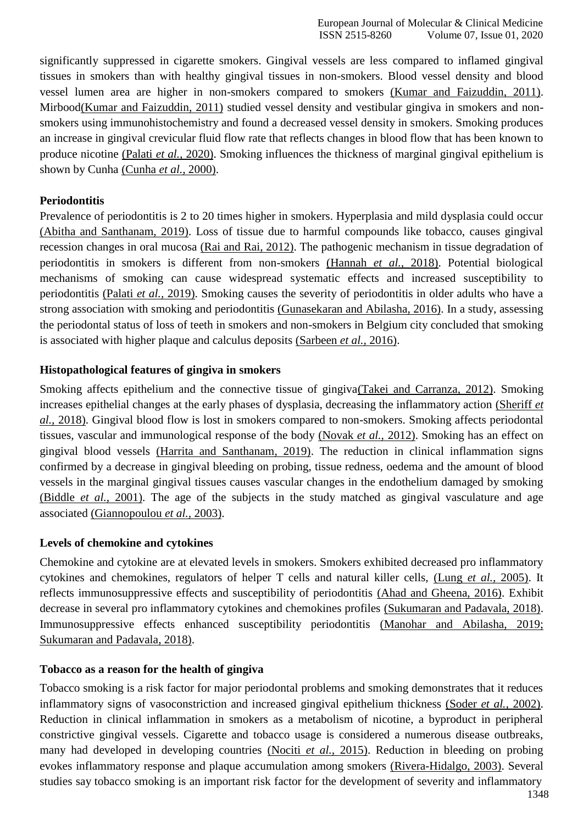significantly suppressed in cigarette smokers. Gingival vessels are less compared to inflamed gingival tissues in smokers than with healthy gingival tissues in non-smokers. Blood vessel density and blood vessel lumen area are higher in non-smokers compared to smokers [\(Kumar and Faizuddin, 2011\).](https://paperpile.com/c/du5iyF/dgiG) Mirboo[d\(Kumar and Faizuddin, 2011\)](https://paperpile.com/c/du5iyF/dgiG) studied vessel density and vestibular gingiva in smokers and nonsmokers using immunohistochemistry and found a decreased vessel density in smokers. Smoking produces an increase in gingival crevicular fluid flow rate that reflects changes in blood flow that has been known to produce nicotine [\(Palati](https://paperpile.com/c/du5iyF/Ewz5) *et al.,* 2020). Smoking influences the thickness of marginal gingival epithelium is shown by Cunha [\(Cunha](https://paperpile.com/c/du5iyF/Kzz8) *et al.,* 2000).

#### **Periodontitis**

Prevalence of periodontitis is 2 to 20 times higher in smokers. Hyperplasia and mild dysplasia could occur [\(Abitha and Santhanam, 2019\).](https://paperpile.com/c/du5iyF/TR0o) Loss of tissue due to harmful compounds like tobacco, causes gingival recession changes in oral mucosa [\(Rai and Rai,](https://paperpile.com/c/du5iyF/sHzM) 2012). The pathogenic mechanism in tissue degradation of periodontitis in smokers is different from non-smokers [\(Hannah](https://paperpile.com/c/du5iyF/MX0F) *et al.,* 2018). Potential biological mechanisms of smoking can cause widespread systematic effects and increased susceptibility to periodontitis (Palati *et al.,* [2019\). S](https://paperpile.com/c/du5iyF/ZeMO)moking causes the severity of periodontitis in older adults who have a strong association with smoking and periodontitis [\(Gunasekaran and Abilasha, 2016\). I](https://paperpile.com/c/du5iyF/qhbo)n a study, assessing the periodontal status of loss of teeth in smokers and non-smokers in Belgium city concluded that smoking is associated with higher plaque and calculus deposits [\(Sarbeen](https://paperpile.com/c/du5iyF/9LiR) *et al.,* 2016).

#### **Histopathological features of gingiva in smokers**

Smoking affects epithelium and the connective tissue of gingiv[a\(Takei and Carranza, 2012\).](https://paperpile.com/c/du5iyF/a3sn) Smoking increases epithelial changes at the early phases of dysplasia, decreasing the inflammatory action [\(Sheriff](https://paperpile.com/c/du5iyF/Iw2i) *et al.,* [2018\). G](https://paperpile.com/c/du5iyF/Iw2i)ingival blood flow is lost in smokers compared to non-smokers. Smoking affects periodontal tissues, vascular and immunological response of the body [\(Novak](https://paperpile.com/c/du5iyF/LDVa) *et al.,* 2012). Smoking has an effect on gingival blood vessels [\(Harrita and Santhanam, 2019\).](https://paperpile.com/c/du5iyF/qqx2) The reduction in clinical inflammation signs confirmed by a decrease in gingival bleeding on probing, tissue redness, oedema and the amount of blood vessels in the marginal gingival tissues causes vascular changes in the endothelium damaged by smoking [\(Biddle](https://paperpile.com/c/du5iyF/RqE8) *et al.,* 2001). The age of the subjects in the study matched as gingival vasculature and age associated [\(Giannopoulou](https://paperpile.com/c/du5iyF/O9k3) *et al.,* 2003).

#### **Levels of chemokine and cytokines**

Chemokine and cytokine are at elevated levels in smokers. Smokers exhibited decreased pro inflammatory cytokines and chemokines, regulators of helper T cells and natural killer cells, [\(Lung](https://paperpile.com/c/du5iyF/PNsa) *et al.,* 2005). It reflects immunosuppressive effects and susceptibility of periodontitis [\(Ahad and Gheena, 2016\).](https://paperpile.com/c/du5iyF/fm9M) Exhibit decrease in several pro inflammatory cytokines and chemokines profiles [\(Sukumaran and Padavala, 2018\).](https://paperpile.com/c/du5iyF/AItj) Immunosuppressive effects enhanced susceptibility periodontitis [\(Manohar and Abilasha, 2019;](https://paperpile.com/c/du5iyF/AItj%2BgVrq) [Sukumaran and Padavala, 2018\).](https://paperpile.com/c/du5iyF/AItj%2BgVrq)

#### **Tobacco as a reason for the health of gingiva**

Tobacco smoking is a risk factor for major periodontal problems and smoking demonstrates that it reduces inflammatory signs of vasoconstriction and increased gingival epithelium thickness [\(Soder](https://paperpile.com/c/du5iyF/BYlG) *et al.,* 2002). Reduction in clinical inflammation in smokers as a metabolism of nicotine, a byproduct in peripheral constrictive gingival vessels. Cigarette and tobacco usage is considered a numerous disease outbreaks, many had developed in developing countries [\(Nociti](https://paperpile.com/c/du5iyF/QXCL) *et al.,* 2015). Reduction in bleeding on probing evokes inflammatory response and plaque accumulation among smokers [\(Rivera-Hidalgo, 2003\). S](https://paperpile.com/c/du5iyF/SIWf)everal studies say tobacco smoking is an important risk factor for the development of severity and inflammatory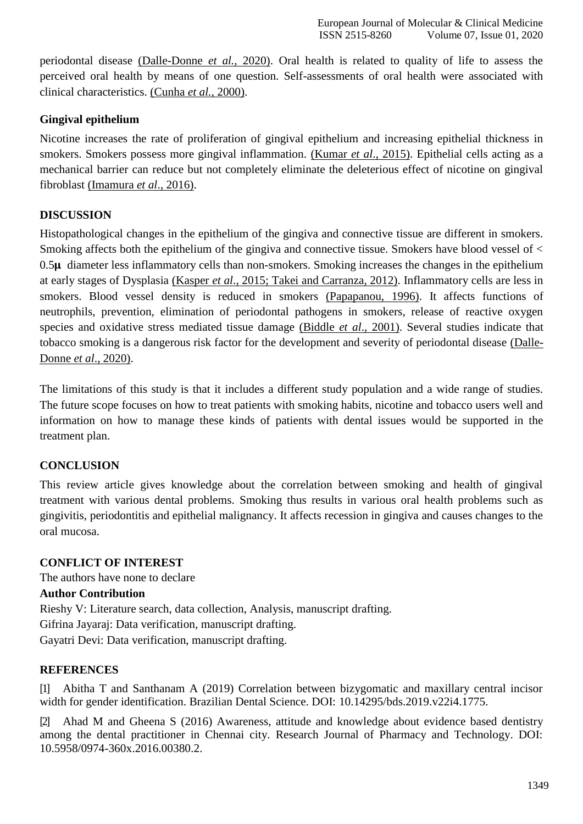periodontal disease [\(Dalle-Donne](https://paperpile.com/c/du5iyF/cJfl) *et al.,* 2020). Oral health is related to quality of life to assess the perceived oral health by means of one question. Self-assessments of oral health were associated with clinical characteristics. [\(Cunha](https://paperpile.com/c/du5iyF/Kzz8) *et al.,* 2000).

# **Gingival epithelium**

Nicotine increases the rate of proliferation of gingival epithelium and increasing epithelial thickness in smokers. Smokers possess more gingival inflammation. [\(Kumar](https://paperpile.com/c/du5iyF/rjw9) *et al*., 2015). Epithelial cells acting as a mechanical barrier can reduce but not completely eliminate the deleterious effect of nicotine on gingival fibroblast [\(Imamura](https://paperpile.com/c/du5iyF/mFzB) *et al*., 2016).

# **DISCUSSION**

Histopathological changes in the epithelium of the gingiva and connective tissue are different in smokers. Smoking affects both the epithelium of the gingiva and connective tissue. Smokers have blood vessel of <  $0.5\mu$  diameter less inflammatory cells than non-smokers. Smoking increases the changes in the epithelium at early stages of Dysplasia (Kasper *et al*[., 2015; Takei and Carranza, 2012\).](https://paperpile.com/c/du5iyF/7J1C%2Ba3sn) Inflammatory cells are less in smokers. Blood vessel density is reduced in smokers [\(Papapanou, 1996\).](https://paperpile.com/c/du5iyF/GL8R) It affects functions of neutrophils, prevention, elimination of periodontal pathogens in smokers, release of reactive oxygen species and oxidative stress mediated tissue damage [\(Biddle](https://paperpile.com/c/du5iyF/RqE8) *et al*., 2001). Several studies indicate that tobacco smoking is a dangerous risk factor for the development and severity of periodontal disease [\(Dalle-](https://paperpile.com/c/du5iyF/cJfl)[Donne](https://paperpile.com/c/du5iyF/cJfl) *et al*., 2020).

The limitations of this study is that it includes a different study population and a wide range of studies. The future scope focuses on how to treat patients with smoking habits, nicotine and tobacco users well and information on how to manage these kinds of patients with dental issues would be supported in the treatment plan.

# **CONCLUSION**

This review article gives knowledge about the correlation between smoking and health of gingival treatment with various dental problems. Smoking thus results in various oral health problems such as gingivitis, periodontitis and epithelial malignancy. It affects recession in gingiva and causes changes to the oral mucosa.

# **CONFLICT OF INTEREST**

The authors have none to declare **Author Contribution** Rieshy V: Literature search, data collection, Analysis, manuscript drafting. Gifrina Jayaraj: Data verification, manuscript drafting. Gayatri Devi: Data verification, manuscript drafting.

# **REFERENCES**

[1] [Abitha T and Santhanam A \(2019\) Correlation between bizygomatic and maxillary central incisor](http://paperpile.com/b/du5iyF/TR0o) [width for gender identification. Brazilian Dental Science. DOI:](http://paperpile.com/b/du5iyF/TR0o) [10.14295/bds.2019.v22i4.1775](http://paperpile.com/b/du5iyF/TR0o)[.](http://dx.doi.org/10.14295/bds.2019.v22i4.1775)

[2] [Ahad M and Gheena S \(2016\) Awareness, attitude and knowledge about evidence based dentistry](http://paperpile.com/b/du5iyF/fm9M) [among the dental practitioner in Chennai city. Research Journal of Pharmacy and Technology. DOI:](http://paperpile.com/b/du5iyF/fm9M) [10.5958/0974-360x.2016.00380.2.](http://dx.doi.org/10.5958/0974-360x.2016.00380.2)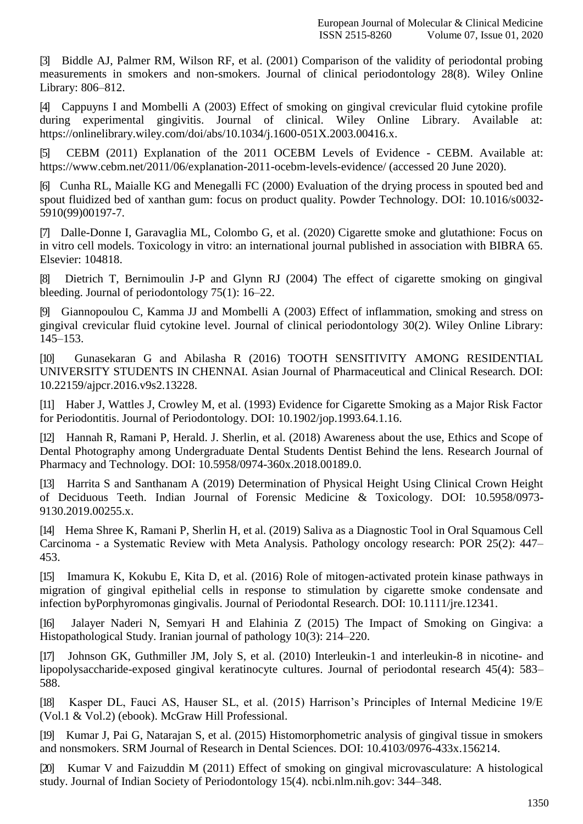[3] [Biddle AJ, Palmer RM, Wilson RF, et al. \(2001\) Comparison of the validity of periodontal probing](http://paperpile.com/b/du5iyF/RqE8) [measurements in smokers and non-smokers. Journal of clinical periodontology 28\(8\). Wiley Online](http://paperpile.com/b/du5iyF/RqE8) Library: [806–812.](http://paperpile.com/b/du5iyF/RqE8)

[4] [Cappuyns I and Mombelli A \(2003\) Effect of smoking on gingival crevicular fluid cytokine profile](http://paperpile.com/b/du5iyF/uGqc) [during experimental gingivitis. Journal of clinical. Wiley Online Library. Available at:](http://paperpile.com/b/du5iyF/uGqc) [https://onlinelibrary.wiley.com/doi/abs/10.1034/j.1600-051X.2003.00416.x.](https://onlinelibrary.wiley.com/doi/abs/10.1034/j.1600-051X.2003.00416.x)

[5] [CEBM \(2011\) Explanation of the 2011 OCEBM Levels of Evidence -](http://paperpile.com/b/du5iyF/k35U) CEBM. Available at[:](http://paperpile.com/b/du5iyF/k35U) [https://www.cebm.net/2011/06/explanation-2011-ocebm-levels-evidence/ \(accessed 20 June](https://www.cebm.net/2011/06/explanation-2011-ocebm-levels-evidence/) 2020).

[6] [Cunha RL, Maialle KG and Menegalli FC \(2000\) Evaluation of the drying process in spouted bed and](http://paperpile.com/b/du5iyF/Kzz8) [spout fluidized bed of xanthan gum: focus on product quality. Powder Technology. DOI: 10.1016/s0032-](http://paperpile.com/b/du5iyF/Kzz8) [5910\(99\)00197-7.](http://dx.doi.org/10.1016/s0032-5910(99)00197-7)

[7] [Dalle-Donne I, Garavaglia ML, Colombo G, et al. \(2020\) Cigarette smoke and glutathione: Focus on](http://paperpile.com/b/du5iyF/cJfl) [in vitro cell models. Toxicology in vitro: an international journal published in association with BIBRA 65.](http://paperpile.com/b/du5iyF/cJfl) [Elsevier: 104818.](http://paperpile.com/b/du5iyF/cJfl)

[8] [Dietrich T, Bernimoulin J-P and Glynn RJ \(2004\) The effect of cigarette smoking on gingival](http://paperpile.com/b/du5iyF/dHyN) [bleeding. Journal of periodontology 75\(1\):](http://paperpile.com/b/du5iyF/dHyN) 16–22.

[9] [Giannopoulou C, Kamma JJ and Mombelli A \(2003\) Effect of inflammation, smoking and stress on](http://paperpile.com/b/du5iyF/O9k3) [gingival crevicular fluid cytokine level. Journal of clinical periodontology 30\(2\). Wiley Online Library:](http://paperpile.com/b/du5iyF/O9k3) [145–153.](http://paperpile.com/b/du5iyF/O9k3)

[10] [Gunasekaran G and Abilasha R \(2016\) TOOTH SENSITIVITY AMONG RESIDENTIAL](http://paperpile.com/b/du5iyF/qhbo) [UNIVERSITY STUDENTS IN CHENNAI. Asian Journal of Pharmaceutical and Clinical Research. DOI:](http://paperpile.com/b/du5iyF/qhbo) [10.22159/ajpcr.2016.v9s2.13228.](http://dx.doi.org/10.22159/ajpcr.2016.v9s2.13228)

[11] [Haber J, Wattles J, Crowley M, et al. \(1993\) Evidence for Cigarette Smoking as a Major Risk Factor](http://paperpile.com/b/du5iyF/EG9S) [for Periodontitis. Journal of Periodontology. DOI: 10.1902/jop.1993.64.1.16](http://paperpile.com/b/du5iyF/EG9S)[.](http://dx.doi.org/10.1902/jop.1993.64.1.16)

[12] [Hannah R, Ramani P, Herald. J. Sherlin, et al. \(2018\) Awareness about the use, Ethics and Scope of](http://paperpile.com/b/du5iyF/MX0F) [Dental Photography among Undergraduate Dental Students Dentist Behind the lens. Research Journal of](http://paperpile.com/b/du5iyF/MX0F) [Pharmacy and Technology. DOI:](http://paperpile.com/b/du5iyF/MX0F) [10.5958/0974-360x.2018.00189.0.](http://paperpile.com/b/du5iyF/MX0F)

[13] [Harrita S and Santhanam A \(2019\) Determination of Physical Height Using Clinical Crown Height](http://paperpile.com/b/du5iyF/qqx2) [of Deciduous Teeth. Indian Journal of Forensic Medicine & Toxicology. DOI:](http://paperpile.com/b/du5iyF/qqx2) [10.5958/0973-](http://dx.doi.org/10.5958/0973-9130.2019.00255.x) [9130.2019.00255.x.](http://dx.doi.org/10.5958/0973-9130.2019.00255.x)

[14] [Hema Shree K, Ramani P, Sherlin H, et al. \(2019\) Saliva as a Diagnostic Tool in Oral Squamous Cell](http://paperpile.com/b/du5iyF/FCVp) Carcinoma - [a Systematic Review with Meta Analysis. Pathology oncology research: POR 25\(2\): 447–](http://paperpile.com/b/du5iyF/FCVp) [453.](http://paperpile.com/b/du5iyF/FCVp)

[15] [Imamura K, Kokubu E, Kita D, et al. \(2016\) Role of mitogen-activated protein kinase pathways in](http://paperpile.com/b/du5iyF/mFzB) [migration of gingival epithelial cells in response to stimulation by cigarette smoke condensate and](http://paperpile.com/b/du5iyF/mFzB) [infection byPorphyromonas gingivalis. Journal of Periodontal Research. DOI:](http://paperpile.com/b/du5iyF/mFzB) [10.1111/jre.12341.](http://paperpile.com/b/du5iyF/mFzB)

[16] [Jalayer Naderi N, Semyari H and Elahinia Z \(2015\) The Impact of Smoking on Gingiva: a](http://paperpile.com/b/du5iyF/Fv0k) [Histopathological Study. Iranian journal of pathology 10\(3\):](http://paperpile.com/b/du5iyF/Fv0k) 214–220.

[17] [Johnson GK, Guthmiller JM, Joly S, et al. \(2010\) Interleukin-1 and interleukin-8 in nicotine-](http://paperpile.com/b/du5iyF/kCrc) an[d](http://paperpile.com/b/du5iyF/kCrc) [lipopolysaccharide-exposed gingival keratinocyte cultures. Journal of periodontal research 45\(4\): 583–](http://paperpile.com/b/du5iyF/kCrc) [588.](http://paperpile.com/b/du5iyF/kCrc)

[18] [Kasper DL, Fauci AS, Hauser SL, et al. \(2015\) Harrison's Principles of Internal Medicine 19/E](http://paperpile.com/b/du5iyF/7J1C) [\(Vol.1 & Vol.2\) \(ebook\). McGraw Hill](http://paperpile.com/b/du5iyF/7J1C) Professional.

[19] [Kumar J, Pai G, Natarajan S, et al. \(2015\) Histomorphometric analysis of gingival tissue in smokers](http://paperpile.com/b/du5iyF/rjw9) [and nonsmokers. SRM Journal of Research in Dental Sciences. DOI: 10.4103/0976-433x.156214](http://paperpile.com/b/du5iyF/rjw9)[.](http://dx.doi.org/10.4103/0976-433x.156214)

[20] Kumar V and Faizuddin M (2011) Effect of [smoking on gingival microvasculature: A histological](http://paperpile.com/b/du5iyF/dgiG) [study. Journal of Indian Society of Periodontology 15\(4\). ncbi.nlm.nih.gov:](http://paperpile.com/b/du5iyF/dgiG) 344–348.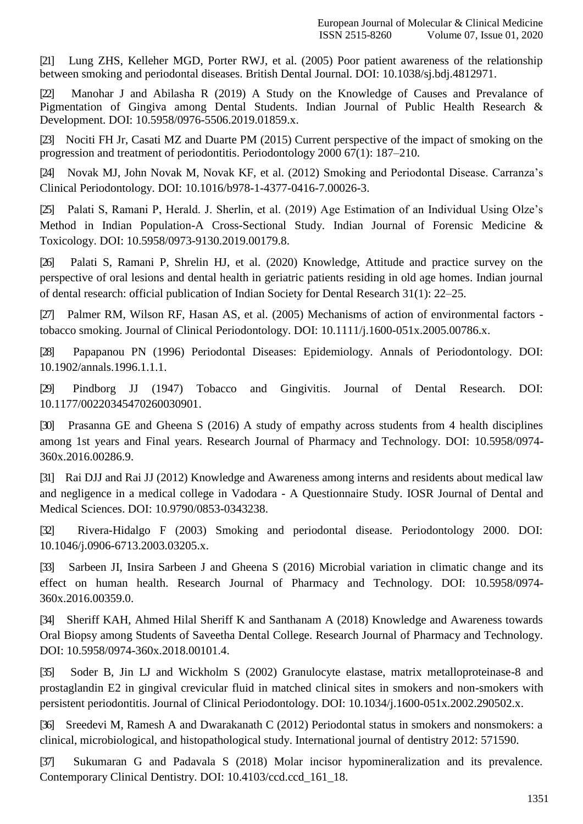[21] [Lung ZHS, Kelleher MGD, Porter RWJ, et al. \(2005\) Poor patient awareness of the relationship](http://paperpile.com/b/du5iyF/PNsa) [between smoking and periodontal diseases. British Dental Journal. DOI:](http://paperpile.com/b/du5iyF/PNsa) [10.1038/sj.bdj.4812971](http://paperpile.com/b/du5iyF/PNsa)[.](http://dx.doi.org/10.1038/sj.bdj.4812971)

[22] [Manohar J and Abilasha R \(2019\) A Study on the Knowledge of Causes and Prevalance of](http://paperpile.com/b/du5iyF/gVrq) [Pigmentation of Gingiva among Dental Students. Indian Journal of Public Health Research &](http://paperpile.com/b/du5iyF/gVrq) [Development. DOI: 10.5958/0976-5506.2019.01859.x.](http://paperpile.com/b/du5iyF/gVrq)

[23] [Nociti FH Jr, Casati MZ and Duarte PM \(2015\) Current perspective of the impact of smoking on the](http://paperpile.com/b/du5iyF/QXCL) [progression and treatment of periodontitis. Periodontology 2000 67\(1\):](http://paperpile.com/b/du5iyF/QXCL) 187–210.

[24] [Novak MJ, John Novak M, Novak KF, et al. \(2012\) Smoking and Periodontal Disease. Carranza's](http://paperpile.com/b/du5iyF/LDVa) [Clinical Periodontology. DOI:](http://paperpile.com/b/du5iyF/LDVa) [10.1016/b978-1-4377-0416-7.00026-3.](http://paperpile.com/b/du5iyF/LDVa)

[25] [Palati S, Ramani P, Herald. J. Sherlin, et al. \(2019\) Age Estimation of an Individual Using Olze's](http://paperpile.com/b/du5iyF/ZeMO) [Method in Indian Population-A Cross-Sectional Study. Indian Journal of Forensic Medicine &](http://paperpile.com/b/du5iyF/ZeMO) [Toxicology. DOI: 10.5958/0973-9130.2019.00179.8.](http://paperpile.com/b/du5iyF/ZeMO)

[26] [Palati S, Ramani P, Shrelin HJ, et al. \(2020\) Knowledge, Attitude and practice survey on the](http://paperpile.com/b/du5iyF/Ewz5) [perspective of oral lesions and dental health in geriatric patients residing in old age homes. Indian journal](http://paperpile.com/b/du5iyF/Ewz5) [of dental research: official publication of Indian Society for Dental Research 31\(1\):](http://paperpile.com/b/du5iyF/Ewz5) 22–25.

[27] [Palmer RM, Wilson RF, Hasan AS, et al. \(2005\) Mechanisms of action of environmental factors](http://paperpile.com/b/du5iyF/dFUS)  [tobacco smoking. Journal of Clinical Periodontology. DOI:](http://paperpile.com/b/du5iyF/dFUS) [10.1111/j.1600-051x.2005.00786.x](http://paperpile.com/b/du5iyF/dFUS)[.](http://dx.doi.org/10.1111/j.1600-051x.2005.00786.x)

[28] [Papapanou PN \(1996\) Periodontal Diseases: Epidemiology. Annals of Periodontology. DOI:](http://paperpile.com/b/du5iyF/GL8R) [10.1902/annals.1996.1.1.1.](http://dx.doi.org/10.1902/annals.1996.1.1.1)

[29] [Pindborg JJ \(1947\) Tobacco and Gingivitis. Journal of Dental Research. DOI:](http://paperpile.com/b/du5iyF/0aFQ) [10.1177/00220345470260030901.](http://dx.doi.org/10.1177/00220345470260030901)

[30] [Prasanna GE and Gheena S \(2016\) A study of empathy across students from 4 health disciplines](http://paperpile.com/b/du5iyF/EvWI) [among 1st years and Final years. Research Journal of Pharmacy and Technology. DOI:](http://paperpile.com/b/du5iyF/EvWI) [10.5958/0974-](http://dx.doi.org/10.5958/0974-360x.2016.00286.9) [360x.2016.00286.9.](http://dx.doi.org/10.5958/0974-360x.2016.00286.9)

[31] [Rai DJJ and Rai JJ \(2012\) Knowledge and Awareness among interns and residents about medical law](http://paperpile.com/b/du5iyF/sHzM) and negligence in a medical college in Vadodara - [A Questionnaire Study. IOSR Journal of Dental and](http://paperpile.com/b/du5iyF/sHzM) [Medical Sciences. DOI:](http://paperpile.com/b/du5iyF/sHzM) [10.9790/0853-0343238.](http://paperpile.com/b/du5iyF/sHzM)

[32] [Rivera-Hidalgo F \(2003\) Smoking and periodontal disease. Periodontology 2000. DOI:](http://paperpile.com/b/du5iyF/SIWf) [10.1046/j.0906-6713.2003.03205.x.](http://dx.doi.org/10.1046/j.0906-6713.2003.03205.x)

[33] [Sarbeen JI, Insira Sarbeen J and Gheena S \(2016\) Microbial variation in climatic change and its](http://paperpile.com/b/du5iyF/9LiR) [effect on human health. Research Journal of Pharmacy and Technology. DOI:](http://paperpile.com/b/du5iyF/9LiR) [10.5958/0974-](http://dx.doi.org/10.5958/0974-360x.2016.00359.0) [360x.2016.00359.0.](http://dx.doi.org/10.5958/0974-360x.2016.00359.0)

[34] [Sheriff KAH, Ahmed Hilal Sheriff K and Santhanam A \(2018\) Knowledge and Awareness towards](http://paperpile.com/b/du5iyF/Iw2i) [Oral Biopsy among Students of Saveetha Dental College. Research Journal](http://paperpile.com/b/du5iyF/Iw2i) of Pharmacy and Technology[.](http://paperpile.com/b/du5iyF/Iw2i) [DOI: 10.5958/0974-360x.2018.00101.4.](http://paperpile.com/b/du5iyF/Iw2i)

[35] Soder B, Jin LJ and Wickholm [S \(2002\) Granulocyte elastase, matrix metalloproteinase-8 and](http://paperpile.com/b/du5iyF/BYlG) [prostaglandin E2 in gingival crevicular fluid in matched clinical sites in smokers and non-smokers with](http://paperpile.com/b/du5iyF/BYlG) [persistent periodontitis. Journal of Clinical Periodontology. DOI:](http://paperpile.com/b/du5iyF/BYlG) [10.1034/j.1600-051x.2002.290502.x.](http://paperpile.com/b/du5iyF/BYlG)

[36] [Sreedevi M, Ramesh A and Dwarakanath C \(2012\) Periodontal status in smokers and nonsmokers: a](http://paperpile.com/b/du5iyF/XqNu) [clinical, microbiological, and histopathological study. International journal of dentistry 2012:](http://paperpile.com/b/du5iyF/XqNu) 571590.

[37] [Sukumaran G and Padavala S \(2018\) Molar incisor hypomineralization and its prevalence.](http://paperpile.com/b/du5iyF/AItj) [Contemporary Clinical Dentistry. DOI:](http://paperpile.com/b/du5iyF/AItj) [10.4103/ccd.ccd\\_161\\_18](http://paperpile.com/b/du5iyF/AItj)[.](http://dx.doi.org/10.4103/ccd.ccd_161_18)